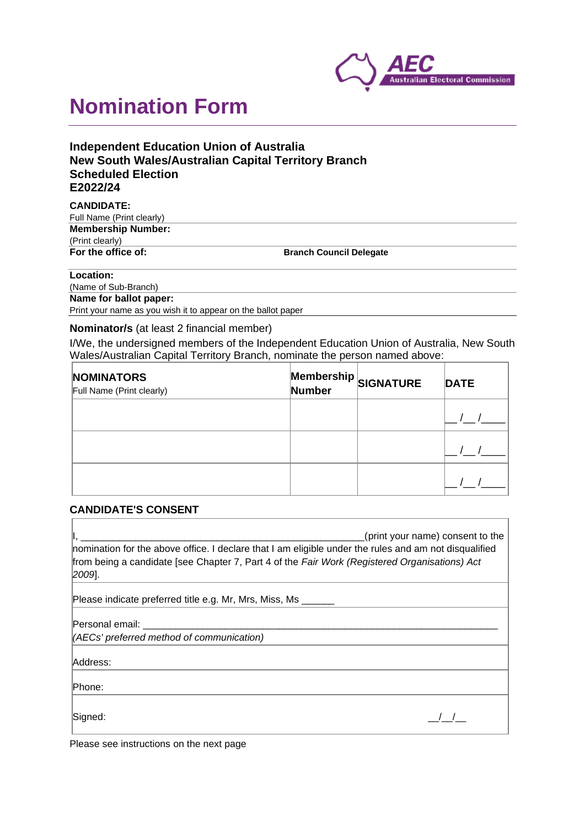

# **Nomination Form**

# **Independent Education Union of Australia New South Wales/Australian Capital Territory Branch Scheduled Election E2022/24**

#### **CANDIDATE:**

| Full Name (Print clearly) |                                |
|---------------------------|--------------------------------|
| <b>Membership Number:</b> |                                |
| (Print clearly)           |                                |
| For the office of:        | <b>Branch Council Delegate</b> |

#### **Location:**

(Name of Sub-Branch) **Name for ballot paper:** Print your name as you wish it to appear on the ballot paper

## **Nominator/s** (at least 2 financial member)

I/We, the undersigned members of the Independent Education Union of Australia, New South Wales/Australian Capital Territory Branch, nominate the person named above:

| <b>NOMINATORS</b><br>Full Name (Print clearly) | Number | Membership SIGNATURE | <b>DATE</b> |
|------------------------------------------------|--------|----------------------|-------------|
|                                                |        |                      |             |
|                                                |        |                      |             |
|                                                |        |                      |             |

## **CANDIDATE'S CONSENT**

|                                                                                                                                                                                                                                | (print your name) consent to the |
|--------------------------------------------------------------------------------------------------------------------------------------------------------------------------------------------------------------------------------|----------------------------------|
| nomination for the above office. I declare that I am eligible under the rules and am not disqualified                                                                                                                          |                                  |
| from being a candidate [see Chapter 7, Part 4 of the Fair Work (Registered Organisations) Act                                                                                                                                  |                                  |
| 2009].                                                                                                                                                                                                                         |                                  |
| Please indicate preferred title e.g. Mr, Mrs, Miss, Ms                                                                                                                                                                         |                                  |
| Personal email: explorer and the property of the property of the property of the property of the property of the property of the property of the property of the property of the property of the property of the property of t |                                  |
| (AECs' preferred method of communication)                                                                                                                                                                                      |                                  |
| Address:                                                                                                                                                                                                                       |                                  |
| lPhone:                                                                                                                                                                                                                        |                                  |
|                                                                                                                                                                                                                                |                                  |
| Signed:                                                                                                                                                                                                                        |                                  |

Please see instructions on the next page